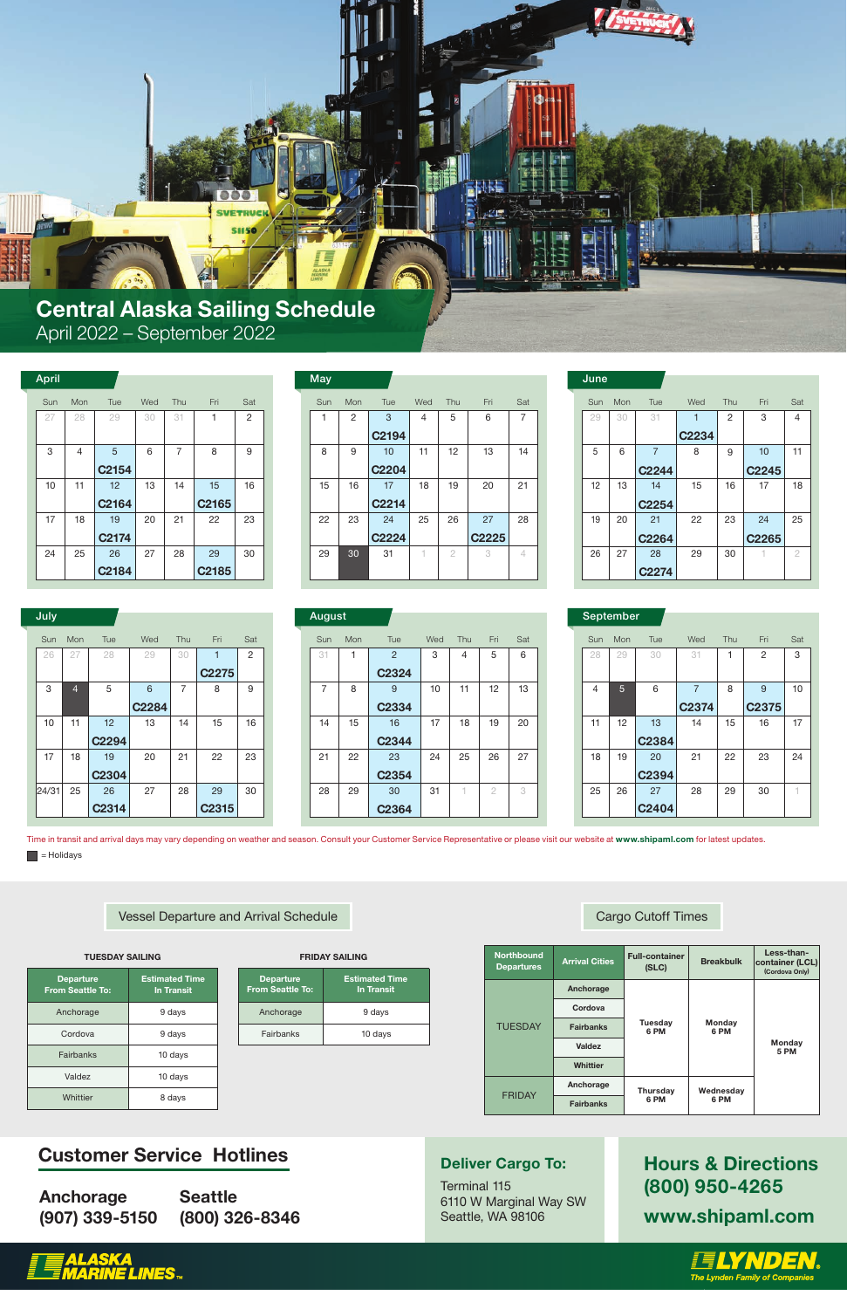## Customer Service Hotlines

Anchorage (907) 339-5150 **Seattle** (800) 326-8346

### Deliver Cargo To:

Terminal 115 6110 W Marginal Way SW Seattle, WA 98106

Hours & Directions (800) 950-4265 www.shipaml.com





Breakbulk **Full-container** Less-than-Northbound

| <b>Departure</b><br><b>From Seattle To:</b> | <b>Estimated Time</b><br><b>In Transit</b> |
|---------------------------------------------|--------------------------------------------|
| Anchorage                                   | 9 days                                     |
| Fairbanks                                   | 10 days                                    |

| <b>Departure</b><br><b>From Seattle To:</b> | <b>Estimated Time</b><br><b>In Transit</b> |
|---------------------------------------------|--------------------------------------------|
| Anchorage                                   | 9 days                                     |
| Cordova                                     | 9 days                                     |
| <b>Fairbanks</b>                            | 10 days                                    |
| Valdez                                      | 10 days                                    |
| Whittier                                    | 8 days                                     |

| <b>Departures</b> | <b>Arrival Cities</b> | ועווועטו וש ווא<br>(SLC) | <b>Breakbulk</b> | container (LCL)<br>(Cordova Only) |  |  |
|-------------------|-----------------------|--------------------------|------------------|-----------------------------------|--|--|
|                   | Anchorage             |                          |                  |                                   |  |  |
|                   | Cordova               |                          |                  |                                   |  |  |
| <b>TUESDAY</b>    | <b>Fairbanks</b>      | <b>Tuesday</b><br>6 PM   | Monday<br>6 PM   |                                   |  |  |
|                   | Valdez                |                          |                  | Monday<br><b>5 PM</b>             |  |  |
|                   | <b>Whittier</b>       |                          |                  |                                   |  |  |
|                   | Anchorage             | <b>Thursday</b>          | Wednesday        |                                   |  |  |
| <b>FRIDAY</b>     | <b>Fairbanks</b>      | 6 PM                     | 6 PM             |                                   |  |  |



| July  |     |                   |                   |                          |                   |     | <b>August</b> |            |                   |     |     |     |     | September |  |
|-------|-----|-------------------|-------------------|--------------------------|-------------------|-----|---------------|------------|-------------------|-----|-----|-----|-----|-----------|--|
| Sun   | Mon | Tue               | Wed               | Thu                      | Fri               | Sat | Sun           | <b>Mon</b> | Tue               | Wed | Thu | Fri | Sat | Sun       |  |
| 26    | 27  | 28                | 29                | 30                       |                   | 2   | 31            |            | $\overline{2}$    | 3   | 4   | 5   | 6   | 28        |  |
|       |     |                   |                   |                          | C <sub>2275</sub> |     |               |            | C <sub>2324</sub> |     |     |     |     |           |  |
| 3     | 4   | 5                 | 6                 | $\overline{\phantom{0}}$ | 8                 | 9   | 7             | 8          | 9                 | 10  | 11  | 12  | 13  | 4         |  |
|       |     |                   | C <sub>2284</sub> |                          |                   |     |               |            | C <sub>2334</sub> |     |     |     |     |           |  |
| 10    | 11  | 12                | 13                | 14                       | 15                | 16  | 14            | 15         | 16                | 17  | 18  | 19  | 20  | 11        |  |
|       |     | C <sub>2294</sub> |                   |                          |                   |     |               |            | C <sub>2344</sub> |     |     |     |     |           |  |
| 17    | 18  | 19                | 20                | 21                       | 22                | 23  | 21            | 22         | 23                | 24  | 25  | 26  | 27  | 18        |  |
|       |     | C <sub>2304</sub> |                   |                          |                   |     |               |            | C <sub>2354</sub> |     |     |     |     |           |  |
| 24/31 | 25  | 26                | 27                | 28                       | 29                | 30  | 28            | 29         | 30                | 31  |     | 2   | 3   | 25        |  |
|       |     | C <sub>2314</sub> |                   |                          | C <sub>2315</sub> |     |               |            | C2364             |     |     |     |     |           |  |

| <b>August</b> |  |
|---------------|--|

|     | September      |             |                         |     |                        |     |
|-----|----------------|-------------|-------------------------|-----|------------------------|-----|
| Sun | Mon            | Tue         | Wed                     | Thu | Fri                    | Sat |
| 28  | 29             | 30          | 31                      | 1   | 2                      | 3   |
| 4   | $\overline{5}$ | 6           | $\overline{7}$<br>C2374 | 8   | 9<br>C <sub>2375</sub> | 10  |
| 11  | 12             | 13<br>C2384 | 14                      | 15  | 16                     | 17  |
| 18  | 19             | 20<br>C2394 | 21                      | 22  | 23                     | 24  |
| 25  | 26             | 27<br>C2404 | 28                      | 29  | 30                     | 1   |

Time in transit and arrival days may vary depending on weather and season. Consult your Customer Service Representative or please visit our website at www.shipaml.com for latest updates.  $\blacksquare$  = Holidays

Vessel Departure and Arrival Schedule Cargo Cutoff Times Cargo Cutoff Times

| TUESDAY SAILING |  |
|-----------------|--|

**FRIDAY SAILING** 

| June |     |                   |       |                |                   |                |
|------|-----|-------------------|-------|----------------|-------------------|----------------|
| Sun  | Mon | Tue               | Wed   | Thu            | Fri               | Sat            |
| 29   | 30  | 31                |       | $\overline{2}$ | 3                 | 4              |
|      |     |                   | C2234 |                |                   |                |
| 5    | 6   | $\overline{7}$    | 8     | 9              | 10                | 11             |
|      |     | C <sub>2244</sub> |       |                | C <sub>2245</sub> |                |
| 12   | 13  | 14                | 15    | 16             | 17                | 18             |
|      |     | C2254             |       |                |                   |                |
| 19   | 20  | 21                | 22    | 23             | 24                | 25             |
|      |     | C2264             |       |                | C <sub>2265</sub> |                |
| 26   | 27  | 28                | 29    | 30             |                   | $\overline{2}$ |
|      |     | C <sub>2274</sub> |       |                |                   |                |

| Fri               | Sat            | Sun | Mon | Tue               | Wed | Thu | Fri            | Sat |
|-------------------|----------------|-----|-----|-------------------|-----|-----|----------------|-----|
| 1                 | $\overline{2}$ | 31  | 1   | 2                 | 3   | 4   | 5              | 6   |
| C2275             |                |     |     | C <sub>2324</sub> |     |     |                |     |
| 8                 | 9              | 7   | 8   | 9                 | 10  | 11  | 12             | 13  |
|                   |                |     |     | C <sub>2334</sub> |     |     |                |     |
| 15                | 16             | 14  | 15  | 16                | 17  | 18  | 19             | 20  |
|                   |                |     |     | C <sub>2344</sub> |     |     |                |     |
| 22                | 23             | 21  | 22  | 23                | 24  | 25  | 26             | 27  |
|                   |                |     |     | C <sub>2354</sub> |     |     |                |     |
| 29                | 30             | 28  | 29  | 30                | 31  | 4   | $\overline{2}$ | 3   |
| C <sub>2315</sub> |                |     |     | C2364             |     |     |                |     |

| <b>April</b> |     |                   |     |     |                   |                | <b>May</b> |
|--------------|-----|-------------------|-----|-----|-------------------|----------------|------------|
| Sun          | Mon | Tue               | Wed | Thu | Fri               | Sat            | Sun        |
| 27           | 28  | 29                | 30  | 31  | 1                 | $\overline{2}$ | 1          |
|              |     |                   |     |     |                   |                |            |
| 3            | 4   | 5                 | 6   | 7   | 8                 | 9              | 8          |
|              |     | C <sub>2154</sub> |     |     |                   |                |            |
| 10           | 11  | 12                | 13  | 14  | 15                | 16             | 15         |
|              |     | C2164             |     |     | C <sub>2165</sub> |                |            |
| 17           | 18  | 19                | 20  | 21  | 22                | 23             | 22         |
|              |     | C <sub>2174</sub> |     |     |                   |                |            |
| 24           | 25  | 26                | 27  | 28  | 29                | 30             | 29         |
|              |     | C <sub>2184</sub> |     |     | C <sub>2185</sub> |                |            |

| <b>May</b> |     |                   |                |     |                   |                |  | June |     |                   |       |
|------------|-----|-------------------|----------------|-----|-------------------|----------------|--|------|-----|-------------------|-------|
| Sun        | Mon | Tue               | Wed            | Thu | Fri               | Sat            |  | Sun  | Mon | Tue               | Wed   |
| 1          | 2   | 3                 | $\overline{4}$ | 5   | 6                 | $\overline{7}$ |  | 29   | 30  | 31                | 1     |
|            |     | C <sub>2194</sub> |                |     |                   |                |  |      |     |                   | C2234 |
| 8          | 9   | 10                | 11             | 12  | 13                | 14             |  | 5    | 6   | $\overline{7}$    | 8     |
|            |     | <b>C2204</b>      |                |     |                   |                |  |      |     | C2244             |       |
| 15         | 16  | 17                | 18             | 19  | 20                | 21             |  | 12   | 13  | 14                | 15    |
|            |     | C <sub>2214</sub> |                |     |                   |                |  |      |     | C <sub>2254</sub> |       |
| 22         | 23  | 24                | 25             | 26  | 27                | 28             |  | 19   | 20  | 21                | 22    |
|            |     | <b>C2224</b>      |                |     | C <sub>2225</sub> |                |  |      |     | C2264             |       |
| 29         | 30  | 31                | 1              | 2   | 3                 | 4              |  | 26   | 27  | 28                | 29    |
|            |     |                   |                |     |                   |                |  |      |     | C <sub>2274</sub> |       |